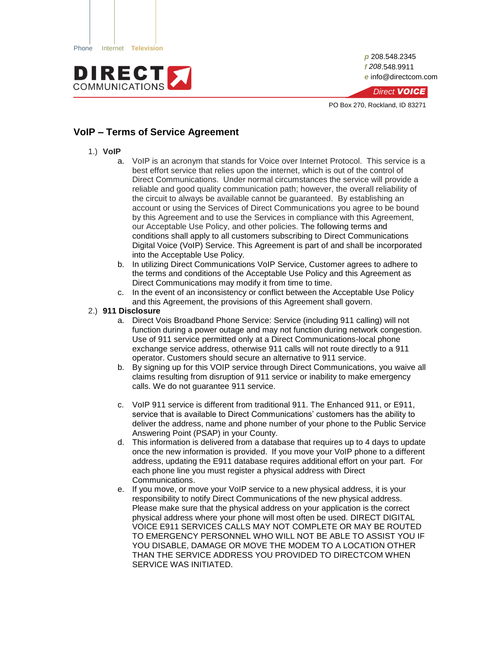

*p* 208.548.2345 *f 208*.548.9911 *e* info@directcom.com



PO Box 270, Rockland, ID 83271

# **VoIP – Terms of Service Agreement**

- 1.) **VoIP**
	- a. VoIP is an acronym that stands for Voice over Internet Protocol. This service is a best effort service that relies upon the internet, which is out of the control of Direct Communications. Under normal circumstances the service will provide a reliable and good quality communication path; however, the overall reliability of the circuit to always be available cannot be guaranteed. By establishing an account or using the Services of Direct Communications you agree to be bound by this Agreement and to use the Services in compliance with this Agreement, our Acceptable Use Policy, and other policies. The following terms and conditions shall apply to all customers subscribing to Direct Communications Digital Voice (VoIP) Service. This Agreement is part of and shall be incorporated into the Acceptable Use Policy.
	- b. In utilizing Direct Communications VoIP Service, Customer agrees to adhere to the terms and conditions of the Acceptable Use Policy and this Agreement as Direct Communications may modify it from time to time.
	- c. In the event of an inconsistency or conflict between the Acceptable Use Policy and this Agreement, the provisions of this Agreement shall govern.

### 2.) **911 Disclosure**

- a. Direct Vois Broadband Phone Service: Service (including 911 calling) will not function during a power outage and may not function during network congestion. Use of 911 service permitted only at a Direct Communications-local phone exchange service address, otherwise 911 calls will not route directly to a 911 operator. Customers should secure an alternative to 911 service.
- b. By signing up for this VOIP service through Direct Communications, you waive all claims resulting from disruption of 911 service or inability to make emergency calls. We do not guarantee 911 service.
- c. VoIP 911 service is different from traditional 911. The Enhanced 911, or E911, service that is available to Direct Communications' customers has the ability to deliver the address, name and phone number of your phone to the Public Service Answering Point (PSAP) in your County.
- d. This information is delivered from a database that requires up to 4 days to update once the new information is provided. If you move your VoIP phone to a different address, updating the E911 database requires additional effort on your part. For each phone line you must register a physical address with Direct Communications.
- e. If you move, or move your VoIP service to a new physical address, it is your responsibility to notify Direct Communications of the new physical address. Please make sure that the physical address on your application is the correct physical address where your phone will most often be used. DIRECT DIGITAL VOICE E911 SERVICES CALLS MAY NOT COMPLETE OR MAY BE ROUTED TO EMERGENCY PERSONNEL WHO WILL NOT BE ABLE TO ASSIST YOU IF YOU DISABLE, DAMAGE OR MOVE THE MODEM TO A LOCATION OTHER THAN THE SERVICE ADDRESS YOU PROVIDED TO DIRECTCOM WHEN SERVICE WAS INITIATED.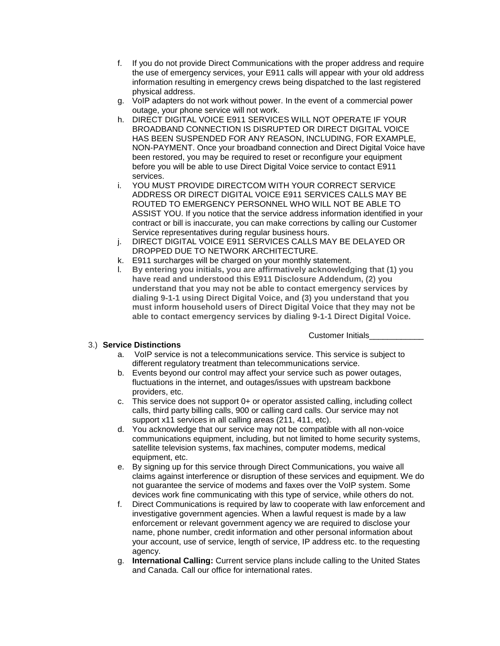- f. If you do not provide Direct Communications with the proper address and require the use of emergency services, your E911 calls will appear with your old address information resulting in emergency crews being dispatched to the last registered physical address.
- g. VoIP adapters do not work without power. In the event of a commercial power outage, your phone service will not work.
- h. DIRECT DIGITAL VOICE E911 SERVICES WILL NOT OPERATE IF YOUR BROADBAND CONNECTION IS DISRUPTED OR DIRECT DIGITAL VOICE HAS BEEN SUSPENDED FOR ANY REASON, INCLUDING, FOR EXAMPLE, NON-PAYMENT. Once your broadband connection and Direct Digital Voice have been restored, you may be required to reset or reconfigure your equipment before you will be able to use Direct Digital Voice service to contact E911 services.
- i. YOU MUST PROVIDE DIRECTCOM WITH YOUR CORRECT SERVICE ADDRESS OR DIRECT DIGITAL VOICE E911 SERVICES CALLS MAY BE ROUTED TO EMERGENCY PERSONNEL WHO WILL NOT BE ABLE TO ASSIST YOU. If you notice that the service address information identified in your contract or bill is inaccurate, you can make corrections by calling our Customer Service representatives during regular business hours.
- j. DIRECT DIGITAL VOICE E911 SERVICES CALLS MAY BE DELAYED OR DROPPED DUE TO NETWORK ARCHITECTURE.
- k. E911 surcharges will be charged on your monthly statement.
- l. **By entering you initials, you are affirmatively acknowledging that (1) you have read and understood this E911 Disclosure Addendum, (2) you understand that you may not be able to contact emergency services by dialing 9-1-1 using Direct Digital Voice, and (3) you understand that you must inform household users of Direct Digital Voice that they may not be able to contact emergency services by dialing 9-1-1 Direct Digital Voice.**

Customer Initials

### 3.) **Service Distinctions**

- a. VoIP service is not a telecommunications service. This service is subject to different regulatory treatment than telecommunications service.
- b. Events beyond our control may affect your service such as power outages, fluctuations in the internet, and outages/issues with upstream backbone providers, etc.
- c. This service does not support 0+ or operator assisted calling, including collect calls, third party billing calls, 900 or calling card calls. Our service may not support x11 services in all calling areas (211, 411, etc).
- d. You acknowledge that our service may not be compatible with all non-voice communications equipment, including, but not limited to home security systems, satellite television systems, fax machines, computer modems, medical equipment, etc.
- e. By signing up for this service through Direct Communications, you waive all claims against interference or disruption of these services and equipment. We do not guarantee the service of modems and faxes over the VoIP system. Some devices work fine communicating with this type of service, while others do not.
- f. Direct Communications is required by law to cooperate with law enforcement and investigative government agencies. When a lawful request is made by a law enforcement or relevant government agency we are required to disclose your name, phone number, credit information and other personal information about your account, use of service, length of service, IP address etc. to the requesting agency.
- g. **International Calling:** Current service plans include calling to the United States and Canada. Call our office for international rates.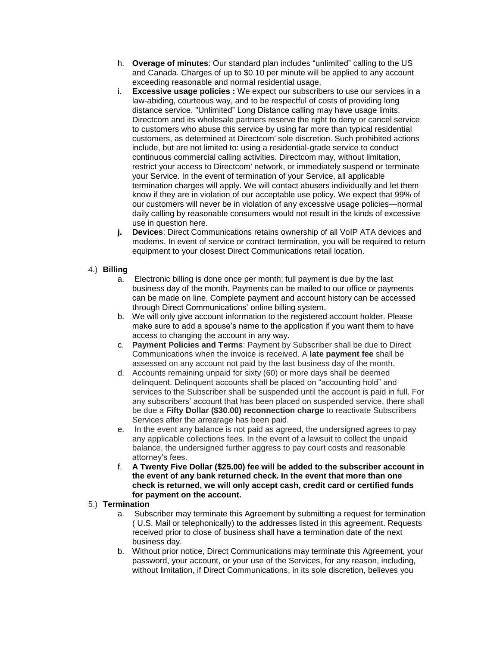- h. **Overage of minutes**: Our standard plan includes "unlimited" calling to the US and Canada. Charges of up to \$0.10 per minute will be applied to any account exceeding reasonable and normal residential usage.
- i. **Excessive usage policies :** We expect our subscribers to use our services in a law-abiding, courteous way, and to be respectful of costs of providing long distance service. "Unlimited" Long Distance calling may have usage limits. Directcom and its wholesale partners reserve the right to deny or cancel service to customers who abuse this service by using far more than typical residential customers, as determined at Directcom' sole discretion. Such prohibited actions include, but are not limited to: using a residential-grade service to conduct continuous commercial calling activities. Directcom may, without limitation, restrict your access to Directcom' network, or immediately suspend or terminate your Service. In the event of termination of your Service, all applicable termination charges will apply. We will contact abusers individually and let them know if they are in violation of our acceptable use policy. We expect that 99% of our customers will never be in violation of any excessive usage policies—normal daily calling by reasonable consumers would not result in the kinds of excessive use in question here.
- **j. Devices**: Direct Communications retains ownership of all VoIP ATA devices and modems. In event of service or contract termination, you will be required to return equipment to your closest Direct Communications retail location.

## 4.) **Billing**

- a. Electronic billing is done once per month; full payment is due by the last business day of the month. Payments can be mailed to our office or payments can be made on line. Complete payment and account history can be accessed through Direct Communications' online billing system.
- b. We will only give account information to the registered account holder. Please make sure to add a spouse's name to the application if you want them to have access to changing the account in any way.
- c. **Payment Policies and Terms**: Payment by Subscriber shall be due to Direct Communications when the invoice is received. A **late payment fee** shall be assessed on any account not paid by the last business day of the month.
- d. Accounts remaining unpaid for sixty (60) or more days shall be deemed delinquent. Delinquent accounts shall be placed on "accounting hold" and services to the Subscriber shall be suspended until the account is paid in full. For any subscribers' account that has been placed on suspended service, there shall be due a **Fifty Dollar (\$30.00) reconnection charge** to reactivate Subscribers Services after the arrearage has been paid.
- e. In the event any balance is not paid as agreed, the undersigned agrees to pay any applicable collections fees. In the event of a lawsuit to collect the unpaid balance, the undersigned further aggress to pay court costs and reasonable attorney's fees.
- f. **A Twenty Five Dollar (\$25.00) fee will be added to the subscriber account in the event of any bank returned check. In the event that more than one check is returned, we will only accept cash, credit card or certified funds for payment on the account.**

## 5.) **Termination**

- a. Subscriber may terminate this Agreement by submitting a request for termination ( U.S. Mail or telephonically) to the addresses listed in this agreement. Requests received prior to close of business shall have a termination date of the next business day.
- b. Without prior notice, Direct Communications may terminate this Agreement, your password, your account, or your use of the Services, for any reason, including, without limitation, if Direct Communications, in its sole discretion, believes you